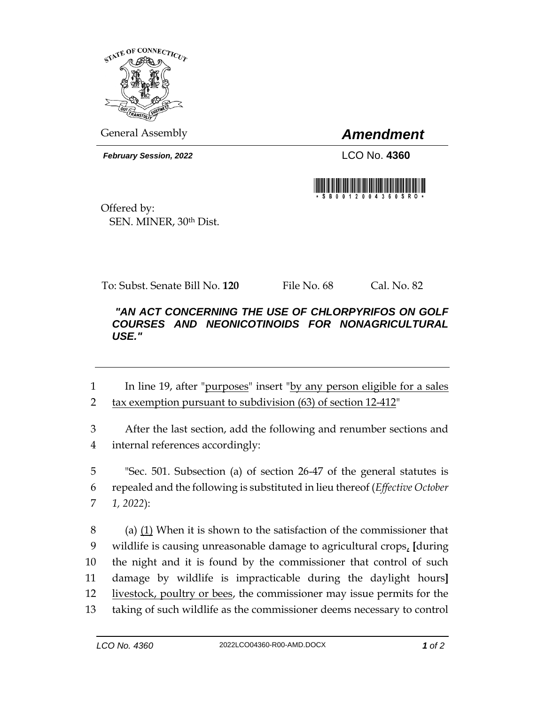

General Assembly *Amendment*

*February Session, 2022* LCO No. **4360**



Offered by: SEN. MINER, 30th Dist.

To: Subst. Senate Bill No. **120** File No. 68 Cal. No. 82

## *"AN ACT CONCERNING THE USE OF CHLORPYRIFOS ON GOLF COURSES AND NEONICOTINOIDS FOR NONAGRICULTURAL USE."*

- 1 In line 19, after "purposes" insert "by any person eligible for a sales 2 tax exemption pursuant to subdivision (63) of section 12-412"
- 3 After the last section, add the following and renumber sections and 4 internal references accordingly:

5 "Sec. 501. Subsection (a) of section 26-47 of the general statutes is 6 repealed and the following is substituted in lieu thereof (*Effective October*  7 *1, 2022*):

 (a) (1) When it is shown to the satisfaction of the commissioner that wildlife is causing unreasonable damage to agricultural crops, **[**during the night and it is found by the commissioner that control of such damage by wildlife is impracticable during the daylight hours**]** livestock, poultry or bees, the commissioner may issue permits for the taking of such wildlife as the commissioner deems necessary to control